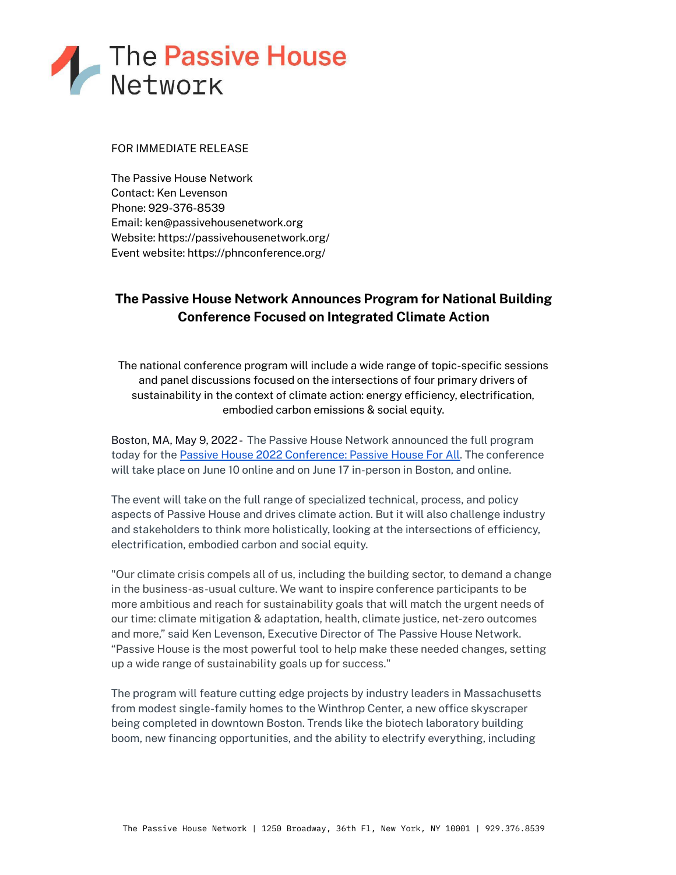

# FOR IMMEDIATE RELEASE

The Passive House Network Contact: Ken Levenson Phone: 929-376-8539 Email: ken@passivehousenetwork.org Website: https://passivehousenetwork.org/ Event website: https://phnconference.org/

# **The Passive House Network Announces Program for National Building Conference Focused on Integrated Climate Action**

The national conference program will include a wide range of topic-specific sessions and panel discussions focused on the intersections of four primary drivers of sustainability in the context of climate action: energy efficiency, electrification, embodied carbon emissions & social equity.

Boston, MA, May 9, 2022- The Passive House Network announced the full program today for the Passive House 2022 [Conference:](https://phnconference.org/) Passive House For All. The conference will take place on June 10 online and on June 17 in-person in Boston, and online.

The event will take on the full range of specialized technical, process, and policy aspects of Passive House and drives climate action. But it will also challenge industry and stakeholders to think more holistically, looking at the intersections of efficiency, electrification, embodied carbon and social equity.

"Our climate crisis compels all of us, including the building sector, to demand a change in the business-as-usual culture. We want to inspire conference participants to be more ambitious and reach for sustainability goals that will match the urgent needs of our time: climate mitigation & adaptation, health, climate justice, net-zero outcomes and more," said Ken Levenson, Executive Director of The Passive House Network. "Passive House is the most powerful tool to help make these needed changes, setting up a wide range of sustainability goals up for success."

The program will feature cutting edge projects by industry leaders in Massachusetts from modest single-family homes to the Winthrop Center, a new office skyscraper being completed in downtown Boston. Trends like the biotech laboratory building boom, new financing opportunities, and the ability to electrify everything, including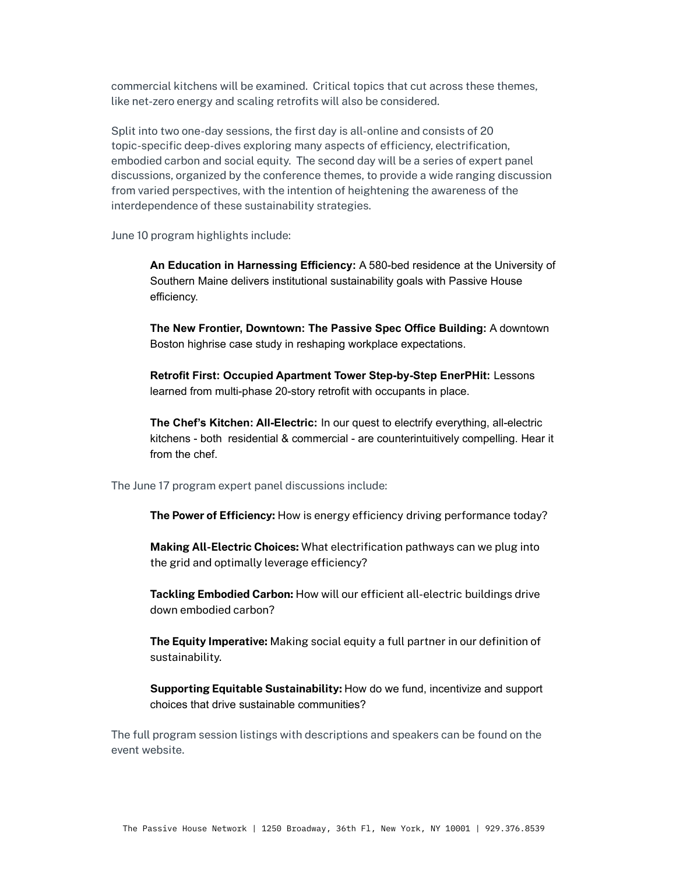commercial kitchens will be examined. Critical topics that cut across these themes, like net-zero energy and scaling retrofits will also be considered.

Split into two one-day sessions, the first day is all-online and consists of 20 topic-specific deep-dives exploring many aspects of efficiency, electrification, embodied carbon and social equity. The second day will be a series of expert panel discussions, organized by the conference themes, to provide a wide ranging discussion from varied perspectives, with the intention of heightening the awareness of the interdependence of these sustainability strategies.

June 10 program highlights include:

**An Education in Harnessing Efficiency:** A 580-bed residence at the University of Southern Maine delivers institutional sustainability goals with Passive House efficiency.

**The New Frontier, Downtown: The Passive Spec Office Building:** A downtown Boston highrise case study in reshaping workplace expectations.

**Retrofit First: Occupied Apartment Tower Step-by-Step EnerPHit:** Lessons learned from multi-phase 20-story retrofit with occupants in place.

**The Chef's Kitchen: All-Electric:** In our quest to electrify everything, all-electric kitchens - both residential & commercial - are counterintuitively compelling. Hear it from the chef.

The June 17 program expert panel discussions include:

**The Power of Efficiency:** How is energy efficiency driving performance today?

**Making All-Electric Choices:** What electrification pathways can we plug into the grid and optimally leverage efficiency?

**Tackling Embodied Carbon:** How will our efficient all-electric buildings drive down embodied carbon?

**The Equity Imperative:** Making social equity a full partner in our definition of sustainability.

**Supporting Equitable Sustainability:** How do we fund, incentivize and support choices that drive sustainable communities?

The full program session listings with descriptions and speakers can be found on the event website.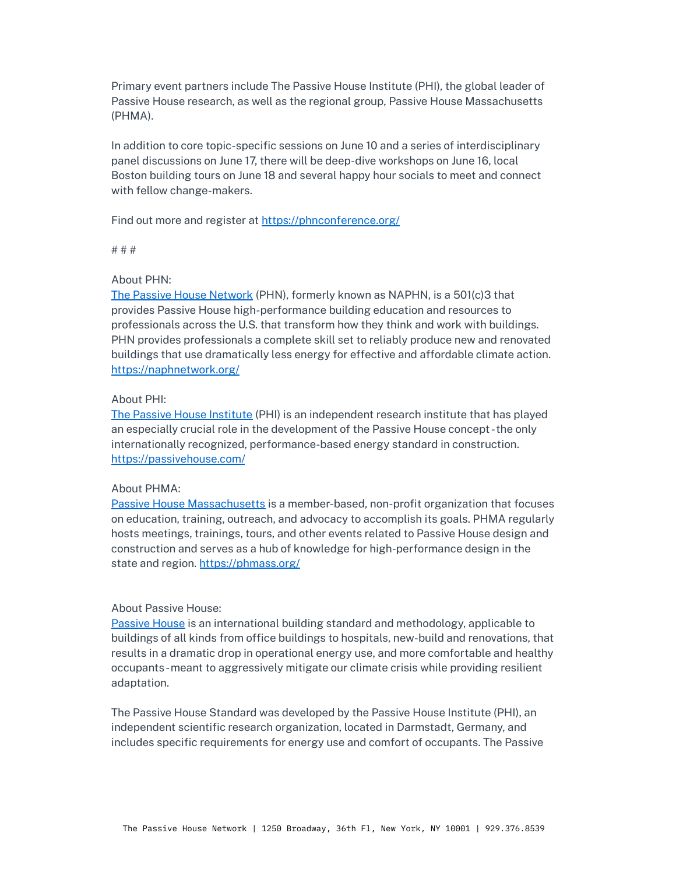Primary event partners include The Passive House Institute (PHI), the global leader of Passive House research, as well as the regional group, Passive House Massachusetts (PHMA).

In addition to core topic-specific sessions on June 10 and a series of interdisciplinary panel discussions on June 17, there will be deep-dive workshops on June 16, local Boston building tours on June 18 and several happy hour socials to meet and connect with fellow change-makers.

Find out more and register at <https://phnconference.org/>

# # #

### About PHN:

The Passive House [Network](https://cts.businesswire.com/ct/CT?id=smartlink&url=https%3A%2F%2Fnaphnetwork.org%2F&esheet=52564910&newsitemid=20220119005325&lan=en-US&anchor=The+Passive+House+Network&index=5&md5=32009132f3b57f7c99948502f5e6481c) (PHN), formerly known as NAPHN, is a 501(c)3 that provides Passive House high-performance building education and resources to professionals across the U.S. that transform how they think and work with buildings. PHN provides professionals a complete skill set to reliably produce new and renovated buildings that use dramatically less energy for effective and affordable climate action. <https://naphnetwork.org/>

## About PHI:

The Passive House [Institute](https://passivehouse.com/) (PHI) is an independent research institute that has played an especially crucial role in the development of the Passive House concept -the only internationally recognized, performance-based energy standard in construction. <https://passivehouse.com/>

#### About PHMA:

Passive House [Massachusetts](https://phmass.org/) is a member-based, non-profit organization that focuses on education, training, outreach, and advocacy to accomplish its goals. PHMA regularly hosts meetings, trainings, tours, and other events related to Passive House design and construction and serves as a hub of knowledge for high-performance design in the state and region. <https://phmass.org/>

### About Passive House:

[Passive](https://naphnetwork.org/news/what-is-passive-house-2/) House is an international building standard and methodology, applicable to buildings of all kinds from office buildings to hospitals, new-build and renovations, that results in a dramatic drop in operational energy use, and more comfortable and healthy occupants-meant to aggressively mitigate our climate crisis while providing resilient adaptation.

The Passive House Standard was developed by the Passive House Institute (PHI), an independent scientific research organization, located in Darmstadt, Germany, and includes specific requirements for energy use and comfort of occupants. The Passive